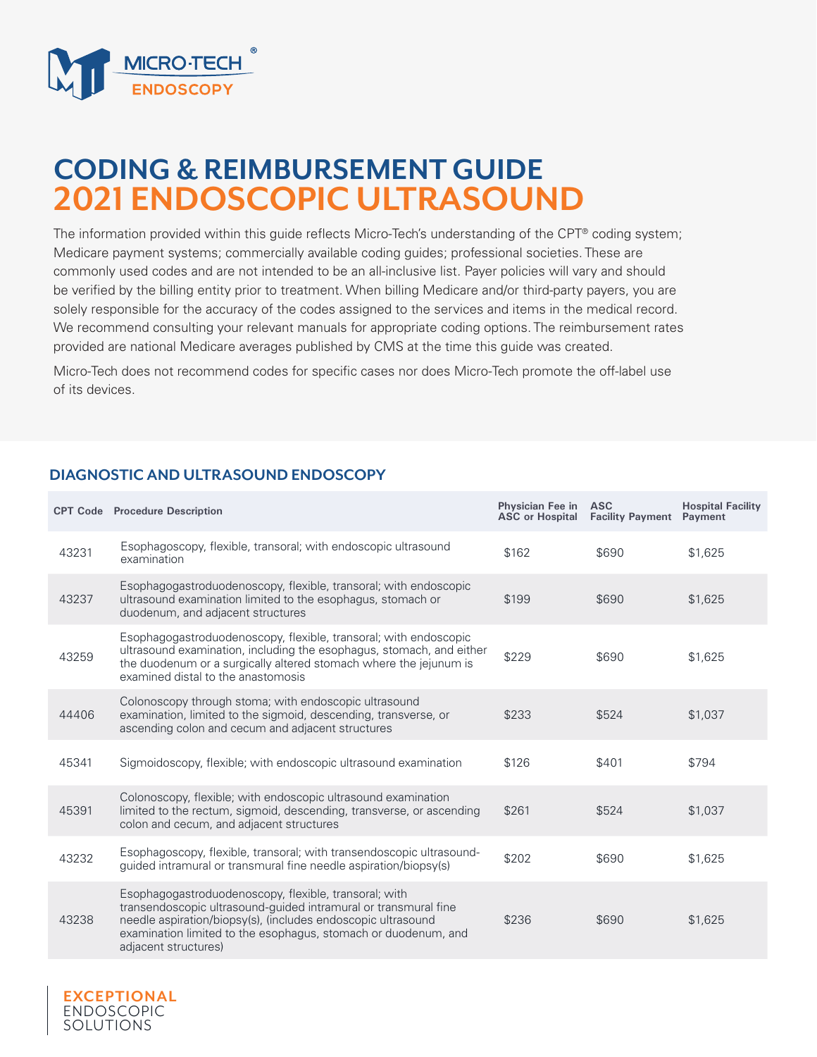

## **CODING & REIMBURSEMENT GUIDE 2021 ENDOSCOPIC ULTRASOUND**

The information provided within this guide reflects Micro-Tech's understanding of the CPT® coding system; Medicare payment systems; commercially available coding guides; professional societies. These are commonly used codes and are not intended to be an all-inclusive list. Payer policies will vary and should be verified by the billing entity prior to treatment. When billing Medicare and/or third-party payers, you are solely responsible for the accuracy of the codes assigned to the services and items in the medical record. We recommend consulting your relevant manuals for appropriate coding options. The reimbursement rates provided are national Medicare averages published by CMS at the time this guide was created.

Micro-Tech does not recommend codes for specific cases nor does Micro-Tech promote the off-label use of its devices.

## **DIAGNOSTIC AND ULTRASOUND ENDOSCOPY**

**EXCEPTIONAL**  ENDOSCOPIC SOLUTIONS

|       | <b>CPT Code</b> Procedure Description                                                                                                                                                                                                                                              | Physician Fee in ASC<br><b>ASC or Hospital</b> | <b>Facility Payment</b> | <b>Hospital Facility</b><br>Payment |
|-------|------------------------------------------------------------------------------------------------------------------------------------------------------------------------------------------------------------------------------------------------------------------------------------|------------------------------------------------|-------------------------|-------------------------------------|
| 43231 | Esophagoscopy, flexible, transoral; with endoscopic ultrasound<br>examination                                                                                                                                                                                                      | \$162                                          | \$690                   | \$1.625                             |
| 43237 | Esophagogastroduodenoscopy, flexible, transoral; with endoscopic<br>ultrasound examination limited to the esophagus, stomach or<br>duodenum, and adjacent structures                                                                                                               | \$199                                          | \$690                   | \$1,625                             |
| 43259 | Esophagogastroduodenoscopy, flexible, transoral; with endoscopic<br>ultrasound examination, including the esophagus, stomach, and either<br>the duodenum or a surgically altered stomach where the jejunum is<br>examined distal to the anastomosis                                | \$229                                          | \$690                   | \$1.625                             |
| 44406 | Colonoscopy through stoma; with endoscopic ultrasound<br>examination, limited to the sigmoid, descending, transverse, or<br>ascending colon and cecum and adjacent structures                                                                                                      | \$233                                          | \$524                   | \$1,037                             |
| 45341 | Sigmoidoscopy, flexible; with endoscopic ultrasound examination                                                                                                                                                                                                                    | \$126                                          | \$401                   | \$794                               |
| 45391 | Colonoscopy, flexible; with endoscopic ultrasound examination<br>limited to the rectum, sigmoid, descending, transverse, or ascending<br>colon and cecum, and adjacent structures                                                                                                  | \$261                                          | \$524                   | \$1,037                             |
| 43232 | Esophagoscopy, flexible, transoral; with transendoscopic ultrasound-<br>guided intramural or transmural fine needle aspiration/biopsy(s)                                                                                                                                           | \$202                                          | \$690                   | \$1,625                             |
| 43238 | Esophagogastroduodenoscopy, flexible, transoral; with<br>transendoscopic ultrasound-guided intramural or transmural fine<br>needle aspiration/biopsy(s), (includes endoscopic ultrasound<br>examination limited to the esophagus, stomach or duodenum, and<br>adjacent structures) | \$236                                          | \$690                   | \$1,625                             |